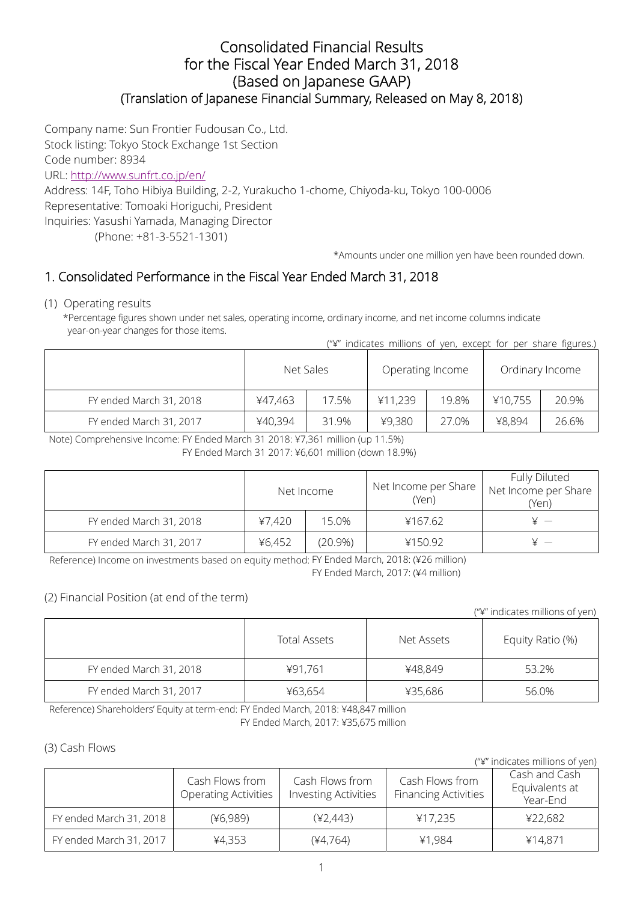## Consolidated Financial Results for the Fiscal Year Ended March 31, 2018 (Based on Japanese GAAP) (Translation of Japanese Financial Summary, Released on May 8, 2018)

Company name: Sun Frontier Fudousan Co., Ltd. Stock listing: Tokyo Stock Exchange 1st Section Code number: 8934 URL: http://www.sunfrt.co.jp/en/

Address: 14F, Toho Hibiya Building, 2-2, Yurakucho 1-chome, Chiyoda-ku, Tokyo 100-0006 Representative: Tomoaki Horiguchi, President Inquiries: Yasushi Yamada, Managing Director

(Phone: +81-3-5521-1301)

\*Amounts under one million yen have been rounded down.

# 1. Consolidated Performance in the Fiscal Year Ended March 31, 2018

#### (1) Operating results

\*Percentage figures shown under net sales, operating income, ordinary income, and net income columns indicate year-on-year changes for those items.

("¥" indicates millions of yen, except for per share figures.)

|                         | Net Sales |       | Operating Income |       | Ordinary Income |       |
|-------------------------|-----------|-------|------------------|-------|-----------------|-------|
| FY ended March 31, 2018 | ¥47,463   | 17.5% | ¥11,239          | 19.8% | ¥10,755         | 20.9% |
| FY ended March 31, 2017 | ¥40,394   | 31.9% | ¥9,380           | 27.0% | ¥8,894          | 26.6% |

Note) Comprehensive Income: FY Ended March 31 2018: ¥7,361 million (up 11.5%)

FY Ended March 31 2017: ¥6,601 million (down 18.9%)

|                         | Net Income |         | Net Income per Share<br>(Yen) | Fully Diluted<br>Net Income per Share<br>(Yen) |
|-------------------------|------------|---------|-------------------------------|------------------------------------------------|
| FY ended March 31, 2018 | ¥7,420     | 15.0%   | ¥167.62                       |                                                |
| FY ended March 31, 2017 | ¥6,452     | (20.9%) | ¥150.92                       |                                                |

Reference) Income on investments based on equity method: FY Ended March, 2018: (¥26 million)

FY Ended March, 2017: (¥4 million)

### (2) Financial Position (at end of the term)

("¥" indicates millions of yen)

|                         | <b>Total Assets</b> | Net Assets | Equity Ratio (%) |
|-------------------------|---------------------|------------|------------------|
| FY ended March 31, 2018 | ¥91,761             | ¥48,849    | 53.2%            |
| FY ended March 31, 2017 | ¥63,654             | ¥35,686    | 56.0%            |

Reference) Shareholders' Equity at term-end: FY Ended March, 2018: ¥48,847 million

FY Ended March, 2017: ¥35,675 million

### (3) Cash Flows

L

("¥" indicates millions of yen) Cash Flows from Operating Activities Cash Flows from Investing Activities Cash Flows from Financing Activities Cash and Cash Equivalents at Year-End FY ended March 31, 2018 (¥6,989) (42,443) + (42,443) + 417,235 FY ended March 31, 2017 ¥4,353 (¥4,764) ¥1,984 ¥14,871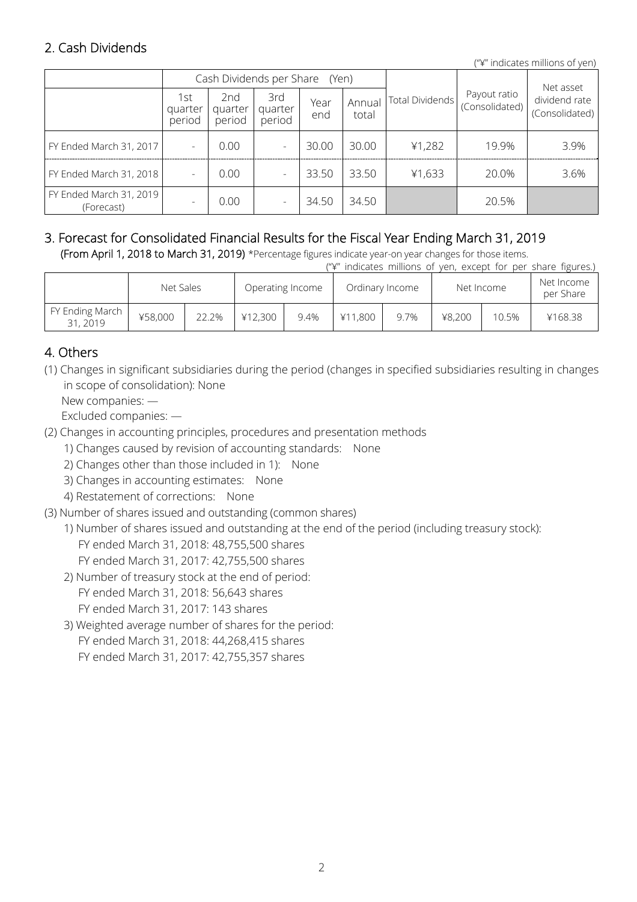# 2. Cash Dividends

("¥" indicates millions of yen)

|                                       |                          |                          | Cash Dividends per Share (Yen) |             |                 | Payout ratio<br>19.9% | Net asset      |                                 |
|---------------------------------------|--------------------------|--------------------------|--------------------------------|-------------|-----------------|-----------------------|----------------|---------------------------------|
|                                       | 1st<br>quarter<br>period | 2nd<br>quarter<br>period | 3rd<br>quarter<br>period       | Year<br>end | Annual<br>total | Total Dividends       | (Consolidated) | dividend rate<br>(Consolidated) |
| FY Ended March 31, 2017               |                          | 0.00                     |                                | 30.00       | 30.00           | 41,282                |                | 3.9%                            |
| FY Ended March 31, 2018               |                          | 0.00                     |                                | 33.50       | 33.50           | ¥1,633                | 20.0%          | 3.6%                            |
| FY Ended March 31, 2019<br>(Forecast) |                          | 0.00                     |                                | 34.50       | 34.50           |                       | 20.5%          |                                 |

#### 3. Forecast for Consolidated Financial Results for the Fiscal Year Ending March 31, 2019 (From April 1, 2018 to March 31, 2019) \*Percentage figures indicate year-on year changes for those items.

("¥" indicates millions of yen, except for per share figures.)

|                             | Net Sales |       |         | Operating Income |         | Ordinary Income | Net Income |       | Net Income<br>per Share |
|-----------------------------|-----------|-------|---------|------------------|---------|-----------------|------------|-------|-------------------------|
| FY Ending March<br>31, 2019 | ¥58,000   | 22.2% | ¥12,300 | 9.4%             | ¥11,800 | 9.7%            | ¥8,200     | 10.5% | ¥168.38                 |

# 4. Others

- (1) Changes in significant subsidiaries during the period (changes in specified subsidiaries resulting in changes in scope of consolidation): None
	- New companies: —

Excluded companies: —

- (2) Changes in accounting principles, procedures and presentation methods
	- 1) Changes caused by revision of accounting standards: None
	- 2) Changes other than those included in 1): None
	- 3) Changes in accounting estimates: None
	- 4) Restatement of corrections: None
- (3) Number of shares issued and outstanding (common shares)
	- 1) Number of shares issued and outstanding at the end of the period (including treasury stock): FY ended March 31, 2018: 48,755,500 shares FY ended March 31, 2017: 42,755,500 shares
	- 2) Number of treasury stock at the end of period: FY ended March 31, 2018: 56,643 shares FY ended March 31, 2017: 143 shares
	- 3) Weighted average number of shares for the period: FY ended March 31, 2018: 44,268,415 shares FY ended March 31, 2017: 42,755,357 shares